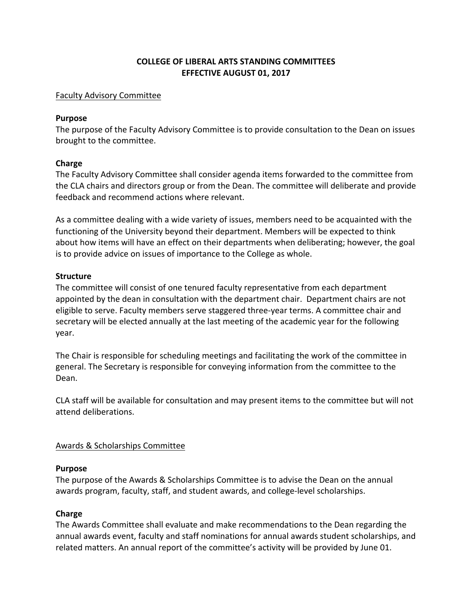## **COLLEGE OF LIBERAL ARTS STANDING COMMITTEES EFFECTIVE AUGUST 01, 2017**

#### **Faculty Advisory Committee**

#### **Purpose**

The purpose of the Faculty Advisory Committee is to provide consultation to the Dean on issues brought to the committee.

## **Charge**

The Faculty Advisory Committee shall consider agenda items forwarded to the committee from the CLA chairs and directors group or from the Dean. The committee will deliberate and provide feedback and recommend actions where relevant.

As a committee dealing with a wide variety of issues, members need to be acquainted with the functioning of the University beyond their department. Members will be expected to think about how items will have an effect on their departments when deliberating; however, the goal is to provide advice on issues of importance to the College as whole.

## **Structure**

The committee will consist of one tenured faculty representative from each department appointed by the dean in consultation with the department chair. Department chairs are not eligible to serve. Faculty members serve staggered three-year terms. A committee chair and secretary will be elected annually at the last meeting of the academic year for the following year.

The Chair is responsible for scheduling meetings and facilitating the work of the committee in general. The Secretary is responsible for conveying information from the committee to the Dean.

CLA staff will be available for consultation and may present items to the committee but will not attend deliberations.

# Awards & Scholarships Committee

## **Purpose**

The purpose of the Awards & Scholarships Committee is to advise the Dean on the annual awards program, faculty, staff, and student awards, and college-level scholarships.

# **Charge**

The Awards Committee shall evaluate and make recommendations to the Dean regarding the annual awards event, faculty and staff nominations for annual awards student scholarships, and related matters. An annual report of the committee's activity will be provided by June 01.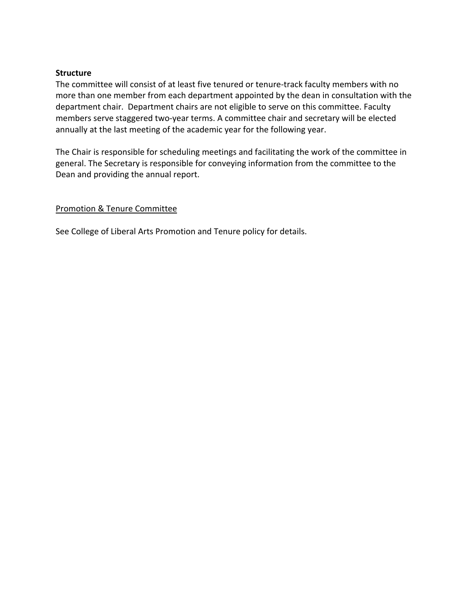#### **Structure**

The committee will consist of at least five tenured or tenure-track faculty members with no more than one member from each department appointed by the dean in consultation with the department chair. Department chairs are not eligible to serve on this committee. Faculty members serve staggered two-year terms. A committee chair and secretary will be elected annually at the last meeting of the academic year for the following year.

The Chair is responsible for scheduling meetings and facilitating the work of the committee in general. The Secretary is responsible for conveying information from the committee to the Dean and providing the annual report.

## Promotion & Tenure Committee

See College of Liberal Arts Promotion and Tenure policy for details.